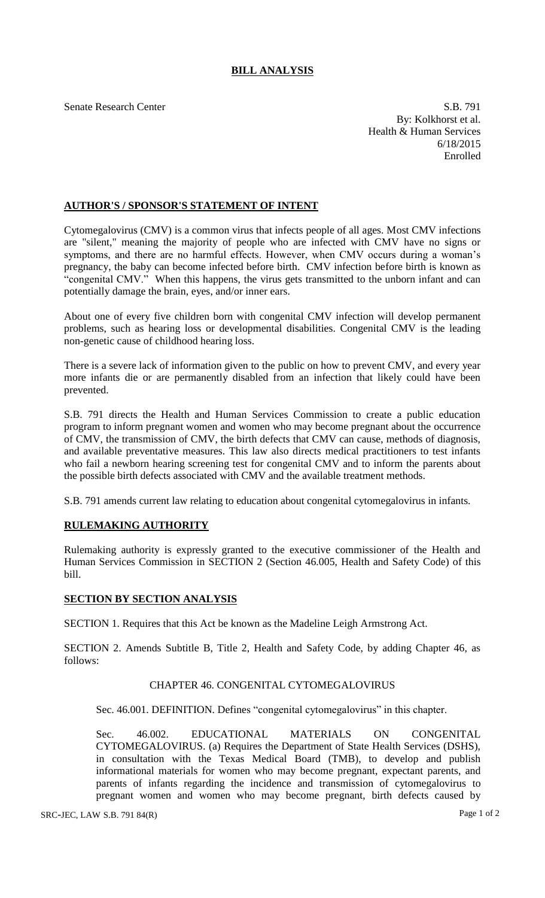## **BILL ANALYSIS**

Senate Research Center S.B. 791 By: Kolkhorst et al. Health & Human Services 6/18/2015 Enrolled

#### **AUTHOR'S / SPONSOR'S STATEMENT OF INTENT**

Cytomegalovirus (CMV) is a common virus that infects people of all ages. Most CMV infections are "silent," meaning the majority of people who are infected with CMV have no signs or symptoms, and there are no harmful effects. However, when CMV occurs during a woman's pregnancy, the baby can become infected before birth. CMV infection before birth is known as "congenital CMV." When this happens, the virus gets transmitted to the unborn infant and can potentially damage the brain, eyes, and/or inner ears.

About one of every five children born with congenital CMV infection will develop permanent problems, such as hearing loss or developmental disabilities. Congenital CMV is the leading non-genetic cause of childhood hearing loss.

There is a severe lack of information given to the public on how to prevent CMV, and every year more infants die or are permanently disabled from an infection that likely could have been prevented.

S.B. 791 directs the Health and Human Services Commission to create a public education program to inform pregnant women and women who may become pregnant about the occurrence of CMV, the transmission of CMV, the birth defects that CMV can cause, methods of diagnosis, and available preventative measures. This law also directs medical practitioners to test infants who fail a newborn hearing screening test for congenital CMV and to inform the parents about the possible birth defects associated with CMV and the available treatment methods.

S.B. 791 amends current law relating to education about congenital cytomegalovirus in infants.

# **RULEMAKING AUTHORITY**

Rulemaking authority is expressly granted to the executive commissioner of the Health and Human Services Commission in SECTION 2 (Section 46.005, Health and Safety Code) of this bill.

### **SECTION BY SECTION ANALYSIS**

SECTION 1. Requires that this Act be known as the Madeline Leigh Armstrong Act.

SECTION 2. Amends Subtitle B, Title 2, Health and Safety Code, by adding Chapter 46, as follows:

#### CHAPTER 46. CONGENITAL CYTOMEGALOVIRUS

Sec. 46.001. DEFINITION. Defines "congenital cytomegalovirus" in this chapter.

Sec. 46.002. EDUCATIONAL MATERIALS ON CONGENITAL CYTOMEGALOVIRUS. (a) Requires the Department of State Health Services (DSHS), in consultation with the Texas Medical Board (TMB), to develop and publish informational materials for women who may become pregnant, expectant parents, and parents of infants regarding the incidence and transmission of cytomegalovirus to pregnant women and women who may become pregnant, birth defects caused by